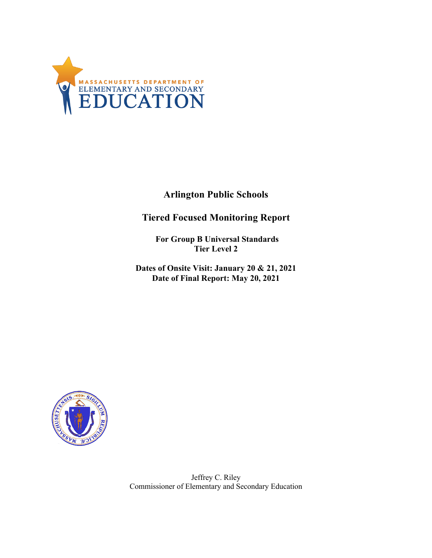

**Arlington Public Schools**

**Tiered Focused Monitoring Report**

**For Group B Universal Standards Tier Level 2** 

**Dates of Onsite Visit: January 20 & 21, 2021 Date of Final Report: May 20, 2021** 



Jeffrey C. Riley Commissioner of Elementary and Secondary Education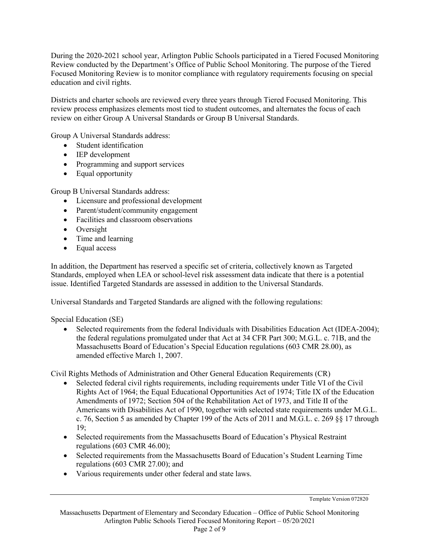During the 2020-2021 school year, Arlington Public Schools participated in a Tiered Focused Monitoring Focused Monitoring Review is to monitor compliance with regulatory requirements focusing on special education and civil rights. Review conducted by the Department's Office of Public School Monitoring. The purpose of the Tiered

 Districts and charter schools are reviewed every three years through Tiered Focused Monitoring. This review process emphasizes elements most tied to student outcomes, and alternates the focus of each review on either Group A Universal Standards or Group B Universal Standards.

Group A Universal Standards address:

- Student identification
- IEP development
- Programming and support services
- Equal opportunity

Group B Universal Standards address:

- Licensure and professional development
- Parent/student/community engagement
- Facilities and classroom observations
- Oversight
- Time and learning
- Equal access

 In addition, the Department has reserved a specific set of criteria, collectively known as Targeted Standards, employed when LEA or school-level risk assessment data indicate that there is a potential issue. Identified Targeted Standards are assessed in addition to the Universal Standards.

Universal Standards and Targeted Standards are aligned with the following regulations:

Special Education (SE)

 the federal regulations promulgated under that Act at 34 CFR Part 300; M.G.L. c. 71B, and the Massachusetts Board of Education's Special Education regulations (603 CMR 28.00), as amended effective March 1, 2007. • Selected requirements from the federal Individuals with Disabilities Education Act (IDEA-2004);

Civil Rights Methods of Administration and Other General Education Requirements (CR)

- c. 76, Section 5 as amended by Chapter 199 of the Acts of 2011 and M.G.L. c. 269 §§ 17 through • Selected federal civil rights requirements, including requirements under Title VI of the Civil Rights Act of 1964; the Equal Educational Opportunities Act of 1974; Title IX of the Education Amendments of 1972; Section 504 of the Rehabilitation Act of 1973, and Title II of the Americans with Disabilities Act of 1990, together with selected state requirements under M.G.L. 19;
- • Selected requirements from the Massachusetts Board of Education's Physical Restraint regulations (603 CMR 46.00);
- • Selected requirements from the Massachusetts Board of Education's Student Learning Time regulations (603 CMR 27.00); and
- Various requirements under other federal and state laws.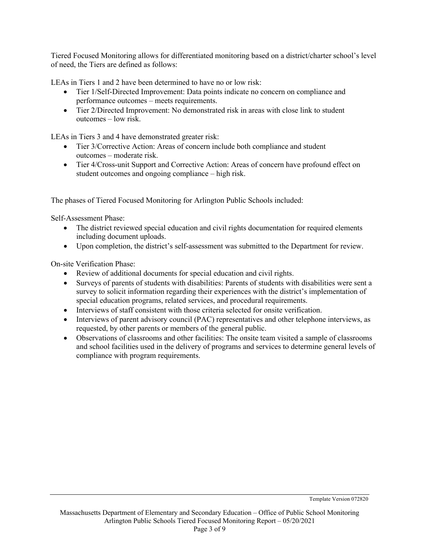Tiered Focused Monitoring allows for differentiated monitoring based on a district/charter school's level of need, the Tiers are defined as follows:

LEAs in Tiers 1 and 2 have been determined to have no or low risk:

- Tier 1/Self-Directed Improvement: Data points indicate no concern on compliance and performance outcomes – meets requirements.
- outcomes low risk. • Tier 2/Directed Improvement: No demonstrated risk in areas with close link to student

LEAs in Tiers 3 and 4 have demonstrated greater risk:

- • Tier 3/Corrective Action: Areas of concern include both compliance and student outcomes – moderate risk.
- • Tier 4/Cross-unit Support and Corrective Action: Areas of concern have profound effect on student outcomes and ongoing compliance – high risk.

The phases of Tiered Focused Monitoring for Arlington Public Schools included:

Self-Assessment Phase:

- • The district reviewed special education and civil rights documentation for required elements including document uploads.
- Upon completion, the district's self-assessment was submitted to the Department for review.

On-site Verification Phase:

- Review of additional documents for special education and civil rights.
- Surveys of parents of students with disabilities: Parents of students with disabilities were sent a survey to solicit information regarding their experiences with the district's implementation of special education programs, related services, and procedural requirements.
- Interviews of staff consistent with those criteria selected for onsite verification.
- • Interviews of parent advisory council (PAC) representatives and other telephone interviews, as requested, by other parents or members of the general public.
- • Observations of classrooms and other facilities: The onsite team visited a sample of classrooms and school facilities used in the delivery of programs and services to determine general levels of compliance with program requirements.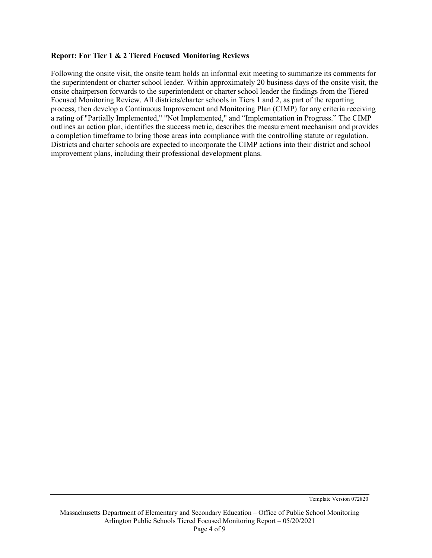#### **Report: For Tier 1 & 2 Tiered Focused Monitoring Reviews**

 onsite chairperson forwards to the superintendent or charter school leader the findings from the Tiered outlines an action plan, identifies the success metric, describes the measurement mechanism and provides Districts and charter schools are expected to incorporate the CIMP actions into their district and school improvement plans, including their professional development plans. Following the onsite visit, the onsite team holds an informal exit meeting to summarize its comments for the superintendent or charter school leader. Within approximately 20 business days of the onsite visit, the Focused Monitoring Review. All districts/charter schools in Tiers 1 and 2, as part of the reporting process, then develop a Continuous Improvement and Monitoring Plan (CIMP) for any criteria receiving a rating of "Partially Implemented," "Not Implemented," and "Implementation in Progress." The CIMP a completion timeframe to bring those areas into compliance with the controlling statute or regulation.

Template Version 072820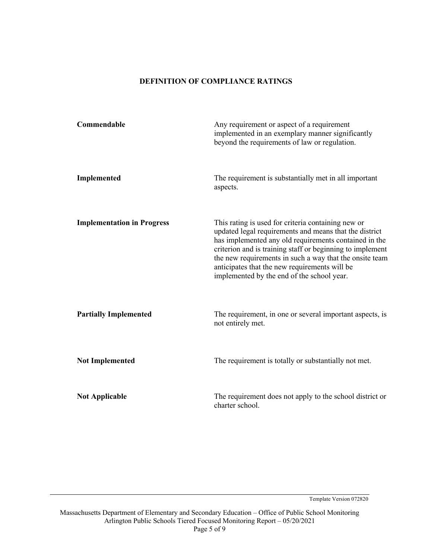#### **DEFINITION OF COMPLIANCE RATINGS**

| Commendable                       | Any requirement or aspect of a requirement<br>implemented in an exemplary manner significantly<br>beyond the requirements of law or regulation.                                                                                                                                                                                                                                              |
|-----------------------------------|----------------------------------------------------------------------------------------------------------------------------------------------------------------------------------------------------------------------------------------------------------------------------------------------------------------------------------------------------------------------------------------------|
| Implemented                       | The requirement is substantially met in all important<br>aspects.                                                                                                                                                                                                                                                                                                                            |
| <b>Implementation in Progress</b> | This rating is used for criteria containing new or<br>updated legal requirements and means that the district<br>has implemented any old requirements contained in the<br>criterion and is training staff or beginning to implement<br>the new requirements in such a way that the onsite team<br>anticipates that the new requirements will be<br>implemented by the end of the school year. |
| <b>Partially Implemented</b>      | The requirement, in one or several important aspects, is<br>not entirely met.                                                                                                                                                                                                                                                                                                                |
| <b>Not Implemented</b>            | The requirement is totally or substantially not met.                                                                                                                                                                                                                                                                                                                                         |
| <b>Not Applicable</b>             | The requirement does not apply to the school district or<br>charter school.                                                                                                                                                                                                                                                                                                                  |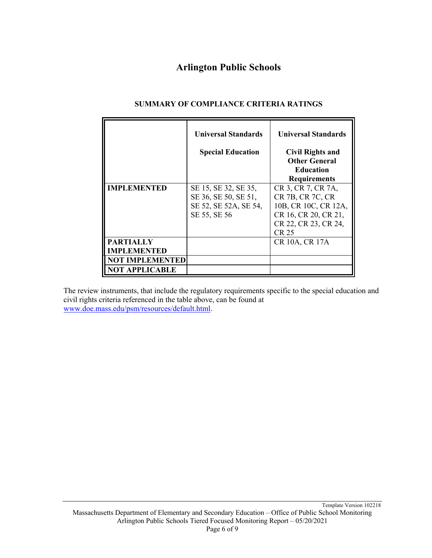# **Arlington Public Schools**

|                                                                  | <b>Universal Standards</b><br><b>Special Education</b>                                | <b>Universal Standards</b><br><b>Civil Rights and</b><br><b>Other General</b><br><b>Education</b><br><b>Requirements</b> |
|------------------------------------------------------------------|---------------------------------------------------------------------------------------|--------------------------------------------------------------------------------------------------------------------------|
| <b>IMPLEMENTED</b>                                               | SE 15, SE 32, SE 35,<br>SE 36, SE 50, SE 51,<br>SE 52, SE 52A, SE 54,<br>SE 55, SE 56 | CR 3, CR 7, CR 7A,<br>CR 7B, CR 7C, CR<br>10B, CR 10C, CR 12A,<br>CR 16, CR 20, CR 21,<br>CR 22, CR 23, CR 24,<br>CR 25  |
| <b>PARTIALLY</b><br><b>IMPLEMENTED</b><br><b>NOT IMPLEMENTED</b> |                                                                                       | CR 10A, CR 17A                                                                                                           |
| OT APPLICABLE                                                    |                                                                                       |                                                                                                                          |

## **SUMMARY OF COMPLIANCE CRITERIA RATINGS**

 The review instruments, that include the regulatory requirements specific to the special education and civil rights criteria referenced in the table above, can be found at <www.doe.mass.edu/psm/resources/default.html>.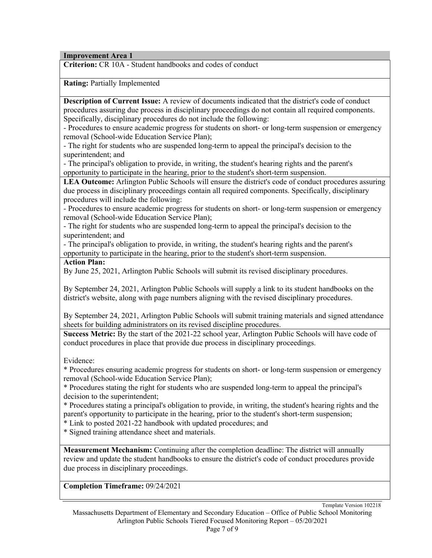**Improvement Area 1**

**Criterion:** CR 10A - Student handbooks and codes of conduct

**Rating:** Partially Implemented

 **Description of Current Issue:** A review of documents indicated that the district's code of conduct procedures assuring due process in disciplinary proceedings do not contain all required components. Specifically, disciplinary procedures do not include the following:

 - Procedures to ensure academic progress for students on short- or long-term suspension or emergency removal (School-wide Education Service Plan);

 - The right for students who are suspended long-term to appeal the principal's decision to the superintendent; and

- The principal's obligation to provide, in writing, the student's hearing rights and the parent's opportunity to participate in the hearing, prior to the student's short-term suspension.

 **LEA Outcome:** Arlington Public Schools will ensure the district's code of conduct procedures assuring due process in disciplinary proceedings contain all required components. Specifically, disciplinary procedures will include the following:

 - Procedures to ensure academic progress for students on short- or long-term suspension or emergency removal (School-wide Education Service Plan);

 - The right for students who are suspended long-term to appeal the principal's decision to the superintendent; and

 - The principal's obligation to provide, in writing, the student's hearing rights and the parent's opportunity to participate in the hearing, prior to the student's short-term suspension.

#### **Action Plan:**

By June 25, 2021, Arlington Public Schools will submit its revised disciplinary procedures.

 By September 24, 2021, Arlington Public Schools will supply a link to its student handbooks on the district's website, along with page numbers aligning with the revised disciplinary procedures.

 By September 24, 2021, Arlington Public Schools will submit training materials and signed attendance sheets for building administrators on its revised discipline procedures.

 **Success Metric:** By the start of the 2021-22 school year, Arlington Public Schools will have code of conduct procedures in place that provide due process in disciplinary proceedings.

Evidence:

 \* Procedures ensuring academic progress for students on short- or long-term suspension or emergency removal (School-wide Education Service Plan);

 \* Procedures stating the right for students who are suspended long-term to appeal the principal's decision to the superintendent;

 \* Procedures stating a principal's obligation to provide, in writing, the student's hearing rights and the parent's opportunity to participate in the hearing, prior to the student's short-term suspension;

\* Link to posted 2021-22 handbook with updated procedures; and

\* Signed training attendance sheet and materials.

 review and update the student handbooks to ensure the district's code of conduct procedures provide **Measurement Mechanism:** Continuing after the completion deadline: The district will annually due process in disciplinary proceedings.

**Completion Timeframe:** 09/24/2021

 Massachusetts Department of Elementary and Secondary Education – Office of Public School Monitoring Arlington Public Schools Tiered Focused Monitoring Report – 05/20/2021 Template Version 102218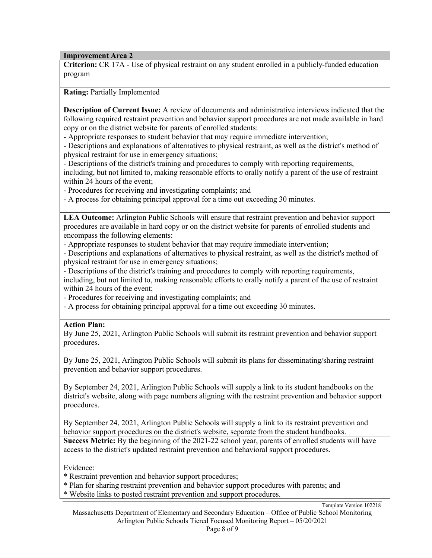**Improvement Area 2**

 **Criterion:** CR 17A - Use of physical restraint on any student enrolled in a publicly-funded education program

**Rating:** Partially Implemented

 **Description of Current Issue:** A review of documents and administrative interviews indicated that the following required restraint prevention and behavior support procedures are not made available in hard copy or on the district website for parents of enrolled students:

- Appropriate responses to student behavior that may require immediate intervention;

- Descriptions and explanations of alternatives to physical restraint, as well as the district's method of physical restraint for use in emergency situations;

- Descriptions of the district's training and procedures to comply with reporting requirements,

including, but not limited to, making reasonable efforts to orally notify a parent of the use of restraint within 24 hours of the event;

- Procedures for receiving and investigating complaints; and

- A process for obtaining principal approval for a time out exceeding 30 minutes.

 procedures are available in hard copy or on the district website for parents of enrolled students and **LEA Outcome:** Arlington Public Schools will ensure that restraint prevention and behavior support encompass the following elements:

- Appropriate responses to student behavior that may require immediate intervention;

- Descriptions and explanations of alternatives to physical restraint, as well as the district's method of physical restraint for use in emergency situations;

- Descriptions of the district's training and procedures to comply with reporting requirements,

 within 24 hours of the event; including, but not limited to, making reasonable efforts to orally notify a parent of the use of restraint

- Procedures for receiving and investigating complaints; and

- A process for obtaining principal approval for a time out exceeding 30 minutes.

## **Action Plan:**

 By June 25, 2021, Arlington Public Schools will submit its restraint prevention and behavior support procedures.

 By June 25, 2021, Arlington Public Schools will submit its plans for disseminating/sharing restraint prevention and behavior support procedures.

 By September 24, 2021, Arlington Public Schools will supply a link to its student handbooks on the procedures. district's website, along with page numbers aligning with the restraint prevention and behavior support

 By September 24, 2021, Arlington Public Schools will supply a link to its restraint prevention and behavior support procedures on the district's website, separate from the student handbooks.

 **Success Metric:** By the beginning of the 2021-22 school year, parents of enrolled students will have access to the district's updated restraint prevention and behavioral support procedures.

Evidence:

\* Restraint prevention and behavior support procedures;

- \* Plan for sharing restraint prevention and behavior support procedures with parents; and
- \* Website links to posted restraint prevention and support procedures.